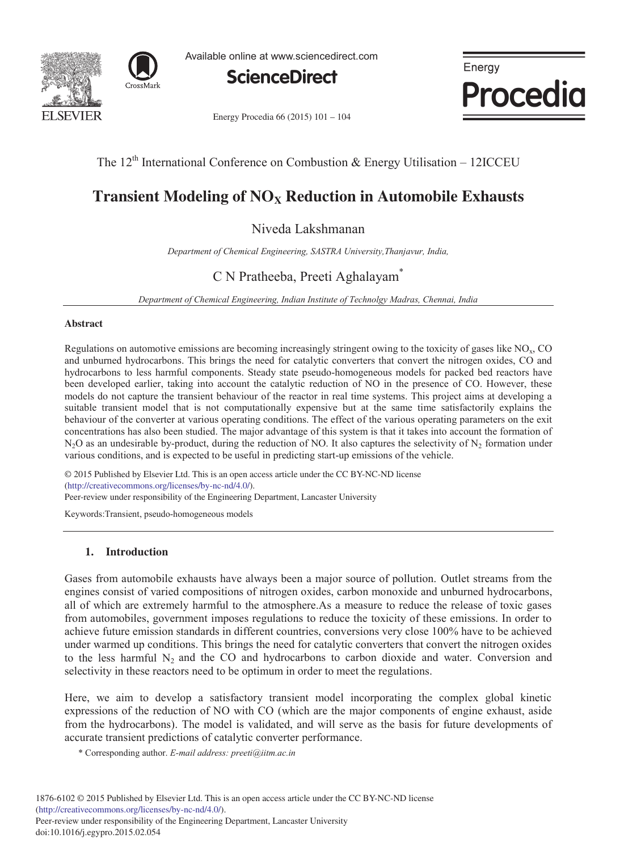



Available online at www.sciencedirect.com



Energy Procedia 66 (2015) 101 - 104



The  $12<sup>th</sup>$  International Conference on Combustion & Energy Utilisation – 12ICCEU

# **Transient Modeling of NO<sub>X</sub> Reduction in Automobile Exhausts**

Niveda Lakshmanan

*Department of Chemical Engineering, SASTRA University,Thanjavur, India,* 

# C N Pratheeba, Preeti Aghalayam\*

*Department of Chemical Engineering, Indian Institute of Technolgy Madras, Chennai, India* 

### **Abstract**

Regulations on automotive emissions are becoming increasingly stringent owing to the toxicity of gases like NOx, CO and unburned hydrocarbons. This brings the need for catalytic converters that convert the nitrogen oxides, CO and hydrocarbons to less harmful components. Steady state pseudo-homogeneous models for packed bed reactors have been developed earlier, taking into account the catalytic reduction of NO in the presence of CO. However, these models do not capture the transient behaviour of the reactor in real time systems. This project aims at developing a suitable transient model that is not computationally expensive but at the same time satisfactorily explains the behaviour of the converter at various operating conditions. The effect of the various operating parameters on the exit concentrations has also been studied. The major advantage of this system is that it takes into account the formation of  $N_2O$  as an undesirable by-product, during the reduction of NO. It also captures the selectivity of  $N_2$  formation under various conditions, and is expected to be useful in predicting start-up emissions of the vehicle.

 $\degree$  2015 Published by Elsevier Ltd. This is an open access article under the CC BY-NC-ND license (imp.//creanvecommons.org/ncenses/0y-nc-nu/4.0/).<br>Peer-review under responsibility of the Engineering Department, Lancaster University (http://creativecommons.org/licenses/by-nc-nd/4.0/).

Keywords:Transient, pseudo-homogeneous models

## **1. Introduction**

Gases from automobile exhausts have always been a major source of pollution. Outlet streams from the engines consist of varied compositions of nitrogen oxides, carbon monoxide and unburned hydrocarbons, all of which are extremely harmful to the atmosphere.As a measure to reduce the release of toxic gases from automobiles, government imposes regulations to reduce the toxicity of these emissions. In order to achieve future emission standards in different countries, conversions very close 100% have to be achieved under warmed up conditions. This brings the need for catalytic converters that convert the nitrogen oxides to the less harmful  $N_2$  and the CO and hydrocarbons to carbon dioxide and water. Conversion and selectivity in these reactors need to be optimum in order to meet the regulations.

Here, we aim to develop a satisfactory transient model incorporating the complex global kinetic expressions of the reduction of NO with CO (which are the major components of engine exhaust, aside from the hydrocarbons). The model is validated, and will serve as the basis for future developments of accurate transient predictions of catalytic converter performance.

\* Corresponding author. *E-mail address: preeti@iitm.ac.in*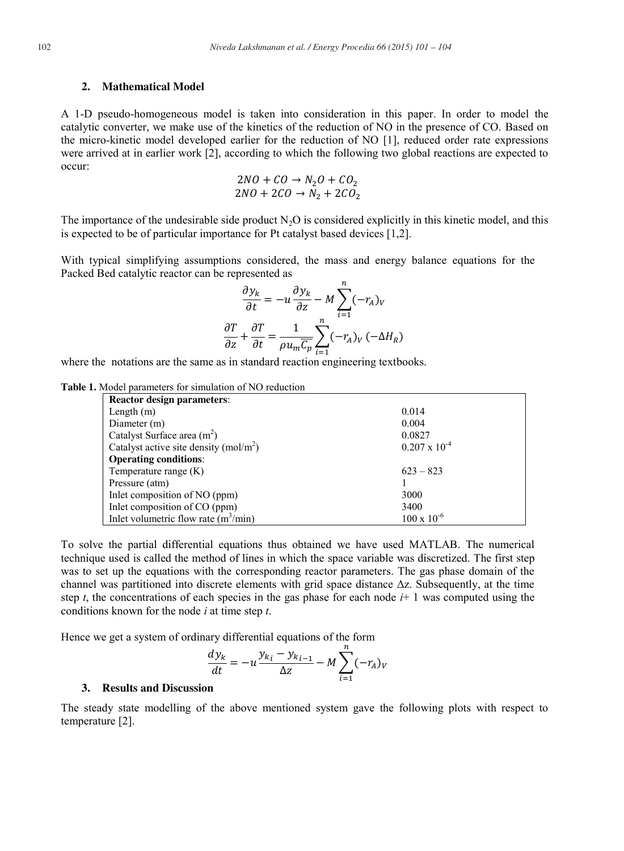#### **2. Mathematical Model**

A 1-D pseudo-homogeneous model is taken into consideration in this paper. In order to model the catalytic converter, we make use of the kinetics of the reduction of NO in the presence of CO. Based on the micro-kinetic model developed earlier for the reduction of NO [1], reduced order rate expressions were arrived at in earlier work [2], according to which the following two global reactions are expected to occur:

$$
2NO + CO \rightarrow N_2O + CO_2
$$
  

$$
2NO + 2CO \rightarrow N_2 + 2CO_2
$$

The importance of the undesirable side product  $N_2O$  is considered explicitly in this kinetic model, and this is expected to be of particular importance for Pt catalyst based devices [1,2].

With typical simplifying assumptions considered, the mass and energy balance equations for the Packed Bed catalytic reactor can be represented as

$$
\frac{\partial y_k}{\partial t} = -u \frac{\partial y_k}{\partial z} - M \sum_{i=1}^n (-r_A)_V
$$

$$
\frac{\partial T}{\partial z} + \frac{\partial T}{\partial t} = \frac{1}{\rho u_m \overline{C_p}} \sum_{i=1}^n (-r_A)_V (-\Delta H_R)
$$

where the notations are the same as in standard reaction engineering textbooks.

#### **Table 1.** Model parameters for simulation of NO reduction

| <b>Reactor design parameters:</b>       |                        |
|-----------------------------------------|------------------------|
| Length $(m)$                            | 0.014                  |
| Diameter (m)                            | 0.004                  |
| Catalyst Surface area $(m2)$            | 0.0827                 |
| Catalyst active site density $(mol/m2)$ | $0.207 \times 10^{-4}$ |
| <b>Operating conditions:</b>            |                        |
| Temperature range $(K)$                 | $623 - 823$            |
| Pressure (atm)                          |                        |
| Inlet composition of NO (ppm)           | 3000                   |
| Inlet composition of CO (ppm)           | 3400                   |
| Inlet volumetric flow rate $(m^3/min)$  | $100 \times 10^{-6}$   |

To solve the partial differential equations thus obtained we have used MATLAB. The numerical technique used is called the method of lines in which the space variable was discretized. The first step was to set up the equations with the corresponding reactor parameters. The gas phase domain of the channel was partitioned into discrete elements with grid space distance  $\Delta z$ . Subsequently, at the time step *t*, the concentrations of each species in the gas phase for each node  $i+1$  was computed using the conditions known for the node *i* at time step *t*.

Hence we get a system of ordinary differential equations of the form

$$
\frac{dy_k}{dt} = -u \frac{y_{k_i} - y_{k_{i-1}}}{\Delta z} - M \sum_{i=1}^n (-r_A)_v
$$

#### **3. Results and Discussion**

The steady state modelling of the above mentioned system gave the following plots with respect to temperature [2].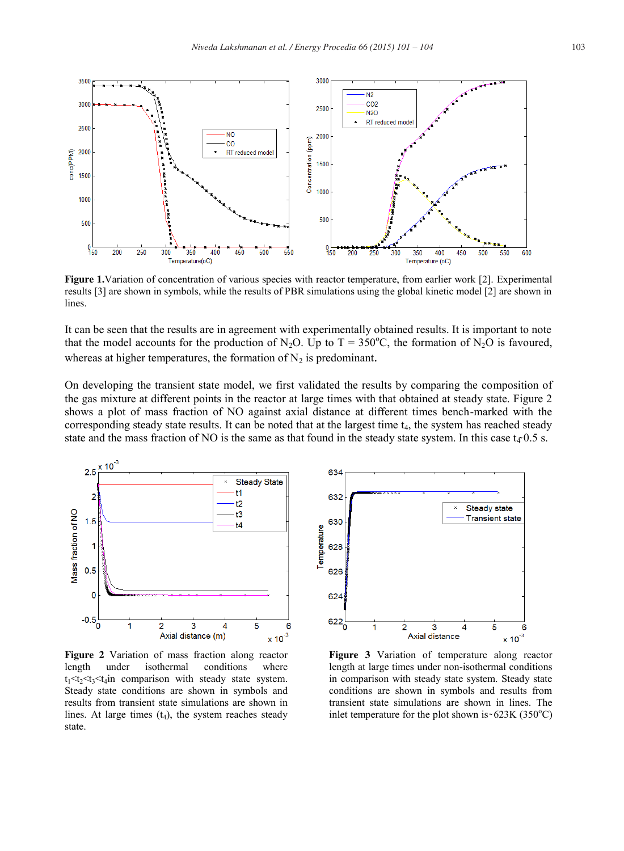

**Figure 1.**Variation of concentration of various species with reactor temperature, from earlier work [2]. Experimental results [3] are shown in symbols, while the results of PBR simulations using the global kinetic model [2] are shown in lines.

It can be seen that the results are in agreement with experimentally obtained results. It is important to note that the model accounts for the production of N<sub>2</sub>O. Up to T = 350°C, the formation of N<sub>2</sub>O is favoured, whereas at higher temperatures, the formation of  $N_2$  is predominant.

On developing the transient state model, we first validated the results by comparing the composition of the gas mixture at different points in the reactor at large times with that obtained at steady state. Figure 2 shows a plot of mass fraction of NO against axial distance at different times bench-marked with the corresponding steady state results. It can be noted that at the largest time  $t<sub>4</sub>$ , the system has reached steady state and the mass fraction of NO is the same as that found in the steady state system. In this case  $t_4$  0.5 s.



**Figure 2** Variation of mass fraction along reactor length under isothermal conditions where  $t_1 < t_2 < t_3 < t_4$  in comparison with steady state system. Steady state conditions are shown in symbols and results from transient state simulations are shown in lines. At large times  $(t_4)$ , the system reaches steady state.



**Figure 3** Variation of temperature along reactor length at large times under non-isothermal conditions in comparison with steady state system. Steady state conditions are shown in symbols and results from transient state simulations are shown in lines. The inlet temperature for the plot shown is ~  $623K$  (350°C)